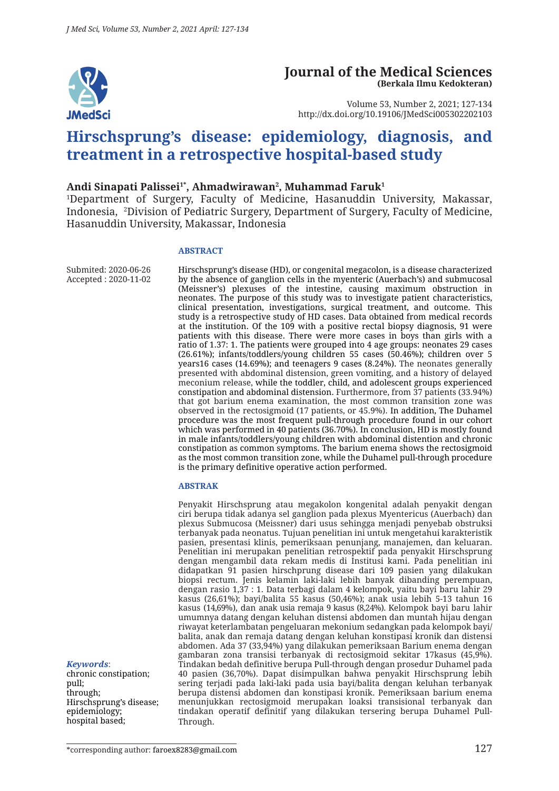

#### **Journal of the Medical Sciences (Berkala Ilmu Kedokteran)**

Volume 53, Number 2, 2021; 127-134 http://dx.doi.org/10.19106/JMedSci005302202103

# **Hirschsprung's disease: epidemiology, diagnosis, and treatment in a retrospective hospital-based study**

#### Andi Sinapati Palissei<sup>1\*</sup>, Ahmadwirawan<sup>2</sup>, Muhammad Faruk<sup>1</sup>

1 Department of Surgery, Faculty of Medicine, Hasanuddin University, Makassar, Indonesia, 2 Division of Pediatric Surgery, Department of Surgery, Faculty of Medicine, Hasanuddin University, Makassar, Indonesia

#### **ABSTRACT**

Submited: 2020-06-26 Accepted : 2020-11-02 Hirschsprung's disease (HD), or congenital megacolon, is a disease characterized by the absence of ganglion cells in the myenteric (Auerbach's) and submucosal (Meissner's) plexuses of the intestine, causing maximum obstruction in neonates. The purpose of this study was to investigate patient characteristics, clinical presentation, investigations, surgical treatment, and outcome. This study is a retrospective study of HD cases. Data obtained from medical records at the institution. Of the 109 with a positive rectal biopsy diagnosis, 91 were patients with this disease. There were more cases in boys than girls with a ratio of 1.37: 1. The patients were grouped into 4 age groups: neonates 29 cases (26.61%); infants/toddlers/young children 55 cases (50.46%); children over 5 years16 cases (14.69%); and teenagers 9 cases (8.24%). The neonates generally presented with abdominal distension, green vomiting, and a history of delayed meconium release, while the toddler, child, and adolescent groups experienced constipation and abdominal distension. Furthermore, from 37 patients (33.94%) that got barium enema examination, the most common transition zone was observed in the rectosigmoid (17 patients, or 45.9%). In addition, The Duhamel procedure was the most frequent pull-through procedure found in our cohort which was performed in 40 patients (36.70%). In conclusion, HD is mostly found in male infants/toddlers/young children with abdominal distention and chronic constipation as common symptoms. The barium enema shows the rectosigmoid as the most common transition zone, while the Duhamel pull-through procedure is the primary definitive operative action performed.

#### **ABSTRAK**

Penyakit Hirschsprung atau megakolon kongenital adalah penyakit dengan ciri berupa tidak adanya sel ganglion pada plexus Myentericus (Auerbach) dan plexus Submucosa (Meissner) dari usus sehingga menjadi penyebab obstruksi terbanyak pada neonatus. Tujuan penelitian ini untuk mengetahui karakteristik pasien, presentasi klinis, pemeriksaan penunjang, manajemen, dan keluaran. Penelitian ini merupakan penelitian retrospektif pada penyakit Hirschsprung dengan mengambil data rekam medis di Institusi kami. Pada penelitian ini didapatkan 91 pasien hirschprung disease dari 109 pasien yang dilakukan biopsi rectum. Jenis kelamin laki-laki lebih banyak dibanding perempuan, dengan rasio 1,37 : 1. Data terbagi dalam 4 kelompok, yaitu bayi baru lahir 29 kasus (26,61%); bayi/balita 55 kasus (50,46%); anak usia lebih 5-13 tahun 16 kasus (14,69%), dan anak usia remaja 9 kasus (8,24%). Kelompok bayi baru lahir umumnya datang dengan keluhan distensi abdomen dan muntah hijau dengan riwayat keterlambatan pengeluaran mekonium sedangkan pada kelompok bayi/ balita, anak dan remaja datang dengan keluhan konstipasi kronik dan distensi abdomen. Ada 37 (33,94%) yang dilakukan pemeriksaan Barium enema dengan gambaran zona transisi terbanyak di rectosigmoid sekitar 17kasus (45,9%). Tindakan bedah definitive berupa Pull-through dengan prosedur Duhamel pada 40 pasien (36,70%). Dapat disimpulkan bahwa penyakit Hirschsprung lebih sering terjadi pada laki-laki pada usia bayi/balita dengan keluhan terbanyak berupa distensi abdomen dan konstipasi kronik. Pemeriksaan barium enema menunjukkan rectosigmoid merupakan loaksi transisional terbanyak dan tindakan operatif definitif yang dilakukan tersering berupa Duhamel Pull-Through.

*Keywords*:

chronic constipation; pull; through; Hirschsprung's disease; epidemiology; hospital based;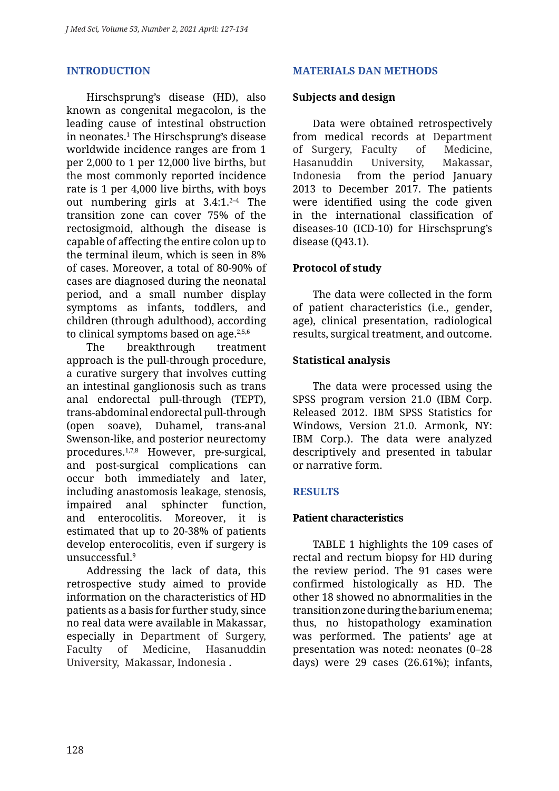# **INTRODUCTION**

Hirschsprung's disease (HD), also known as congenital megacolon, is the leading cause of intestinal obstruction in neonates.1 The Hirschsprung's disease worldwide incidence ranges are from 1 per 2,000 to 1 per 12,000 live births, but the most commonly reported incidence rate is 1 per 4,000 live births, with boys out numbering girls at  $3.4:1.^{2-4}$  The transition zone can cover 75% of the rectosigmoid, although the disease is capable of affecting the entire colon up to the terminal ileum, which is seen in 8% of cases. Moreover, a total of 80-90% of cases are diagnosed during the neonatal period, and a small number display symptoms as infants, toddlers, and children (through adulthood), according to clinical symptoms based on age. $2,5,6$ 

The breakthrough treatment approach is the pull-through procedure, a curative surgery that involves cutting an intestinal ganglionosis such as trans anal endorectal pull-through (TEPT), trans-abdominal endorectal pull-through (open soave), Duhamel, trans-anal Swenson-like, and posterior neurectomy procedures.1,7,8 However, pre-surgical, and post-surgical complications can occur both immediately and later, including anastomosis leakage, stenosis, impaired anal sphincter function, and enterocolitis. Moreover, it is estimated that up to 20-38% of patients develop enterocolitis, even if surgery is unsuccessful.9

Addressing the lack of data, this retrospective study aimed to provide information on the characteristics of HD patients as a basis for further study, since no real data were available in Makassar, especially in Department of Surgery, Faculty of Medicine, Hasanuddin University, Makassar, Indonesia .

# **MATERIALS DAN METHODS**

#### **Subjects and design**

Data were obtained retrospectively from medical records at Department of Surgery, Faculty of Medicine, Hasanuddin University, Makassar, Indonesia from the period January 2013 to December 2017. The patients were identified using the code given in the international classification of diseases-10 (ICD-10) for Hirschsprung's disease (Q43.1).

# **Protocol of study**

The data were collected in the form of patient characteristics (i.e., gender, age), clinical presentation, radiological results, surgical treatment, and outcome.

#### **Statistical analysis**

The data were processed using the SPSS program version 21.0 (IBM Corp. Released 2012. IBM SPSS Statistics for Windows, Version 21.0. Armonk, NY: IBM Corp.). The data were analyzed descriptively and presented in tabular or narrative form.

# **RESULTS**

# **Patient characteristics**

TABLE 1 highlights the 109 cases of rectal and rectum biopsy for HD during the review period. The 91 cases were confirmed histologically as HD. The other 18 showed no abnormalities in the transition zone during the barium enema; thus, no histopathology examination was performed. The patients' age at presentation was noted: neonates (0–28 days) were 29 cases (26.61%); infants,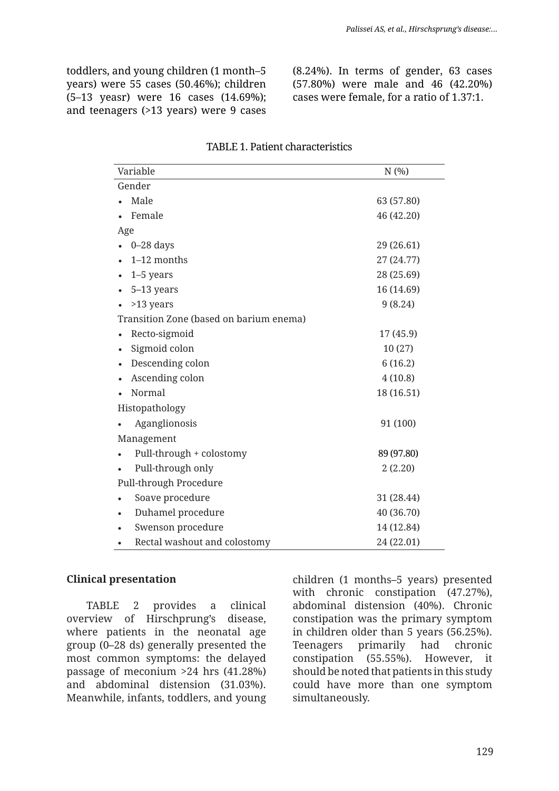toddlers, and young children (1 month–5 years) were 55 cases (50.46%); children (5–13 yeasr) were 16 cases (14.69%); and teenagers (>13 years) were 9 cases

(8.24%). In terms of gender, 63 cases (57.80%) were male and 46 (42.20%) cases were female, for a ratio of 1.37:1.

| Variable                                | N(%)       |  |
|-----------------------------------------|------------|--|
| Gender                                  |            |  |
| Male                                    | 63 (57.80) |  |
| Female                                  | 46 (42.20) |  |
| Age                                     |            |  |
| $0-28$ days                             | 29 (26.61) |  |
| 1-12 months                             | 27 (24.77) |  |
| $1-5$ years                             | 28 (25.69) |  |
| 5-13 years                              | 16 (14.69) |  |
| >13 years                               | 9(8.24)    |  |
| Transition Zone (based on barium enema) |            |  |
| Recto-sigmoid                           | 17 (45.9)  |  |
| Sigmoid colon                           | 10(27)     |  |
| Descending colon                        | 6(16.2)    |  |
| Ascending colon                         | 4(10.8)    |  |
| Normal                                  | 18 (16.51) |  |
| Histopathology                          |            |  |
| Aganglionosis                           | 91 (100)   |  |
| Management                              |            |  |
| Pull-through + colostomy                | 89 (97.80) |  |
| Pull-through only                       | 2(2.20)    |  |
| Pull-through Procedure                  |            |  |
| Soave procedure                         | 31 (28.44) |  |
| Duhamel procedure                       | 40 (36.70) |  |
| Swenson procedure                       | 14 (12.84) |  |
| Rectal washout and colostomy            | 24 (22.01) |  |

#### TABLE 1. Patient characteristics

#### **Clinical presentation**

TABLE 2 provides a clinical overview of Hirschprung's disease, where patients in the neonatal age group (0–28 ds) generally presented the most common symptoms: the delayed passage of meconium >24 hrs (41.28%) and abdominal distension (31.03%). Meanwhile, infants, toddlers, and young children (1 months–5 years) presented with chronic constipation (47.27%), abdominal distension (40%). Chronic constipation was the primary symptom in children older than 5 years (56.25%). Teenagers primarily had chronic constipation (55.55%). However, it should be noted that patients in this study could have more than one symptom simultaneously.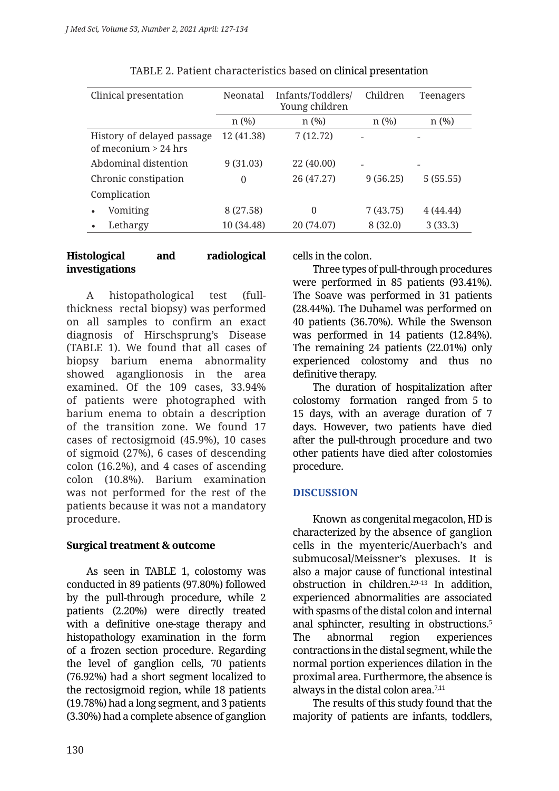| Clinical presentation                                | Neonatal   | Infants/Toddlers/<br>Young children | Children | <b>Teenagers</b> |
|------------------------------------------------------|------------|-------------------------------------|----------|------------------|
|                                                      | n(%)       | $n$ (%)                             | $n$ (%)  | n(%)             |
| History of delayed passage<br>of meconium $> 24$ hrs | 12 (41.38) | 7(12.72)                            |          |                  |
| Abdominal distention                                 | 9(31.03)   | 22 (40.00)                          |          |                  |
| Chronic constipation                                 | $\theta$   | 26 (47.27)                          | 9(56.25) | 5(55.55)         |
| Complication                                         |            |                                     |          |                  |
| Vomiting<br>٠                                        | 8 (27.58)  | 0                                   | 7(43.75) | 4(44.44)         |
| Lethargy                                             | 10 (34.48) | 20 (74.07)                          | 8 (32.0) | 3(33.3)          |

# TABLE 2. Patient characteristics based on clinical presentation

# **Histological and radiological investigations**

A histopathological test (fullthickness rectal biopsy) was performed on all samples to confirm an exact diagnosis of Hirschsprung's Disease (TABLE 1). We found that all cases of biopsy barium enema abnormality showed aganglionosis in the area examined. Of the 109 cases, 33.94% of patients were photographed with barium enema to obtain a description of the transition zone. We found 17 cases of rectosigmoid (45.9%), 10 cases of sigmoid (27%), 6 cases of descending colon (16.2%), and 4 cases of ascending colon (10.8%). Barium examination was not performed for the rest of the patients because it was not a mandatory procedure.

# **Surgical treatment & outcome**

As seen in TABLE 1, colostomy was conducted in 89 patients (97.80%) followed by the pull-through procedure, while 2 patients (2.20%) were directly treated with a definitive one-stage therapy and histopathology examination in the form of a frozen section procedure. Regarding the level of ganglion cells, 70 patients (76.92%) had a short segment localized to the rectosigmoid region, while 18 patients (19.78%) had a long segment, and 3 patients (3.30%) had a complete absence of ganglion cells in the colon.

Three types of pull-through procedures were performed in 85 patients (93.41%). The Soave was performed in 31 patients (28.44%). The Duhamel was performed on 40 patients (36.70%). While the Swenson was performed in 14 patients (12.84%). The remaining 24 patients (22.01%) only experienced colostomy and thus no definitive therapy.

The duration of hospitalization after colostomy formation ranged from 5 to 15 days, with an average duration of 7 days. However, two patients have died after the pull-through procedure and two other patients have died after colostomies procedure.

# **DISCUSSION**

Known as congenital megacolon, HD is characterized by the absence of ganglion cells in the myenteric/Auerbach's and submucosal/Meissner's plexuses. It is also a major cause of functional intestinal obstruction in children.2,9–13 In addition, experienced abnormalities are associated with spasms of the distal colon and internal anal sphincter, resulting in obstructions.5 The abnormal region experiences contractions in the distal segment, while the normal portion experiences dilation in the proximal area. Furthermore, the absence is always in the distal colon area.<sup>7,11</sup>

The results of this study found that the majority of patients are infants, toddlers,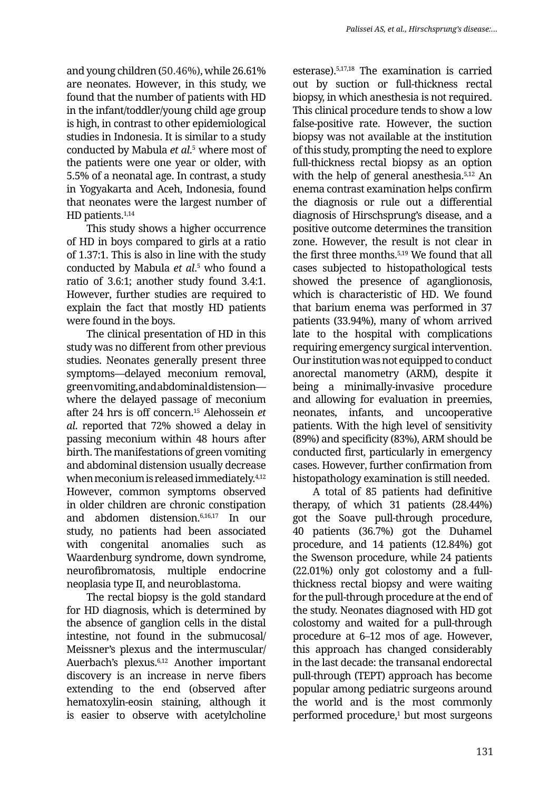and young children (50.46%), while 26.61% are neonates. However, in this study, we found that the number of patients with HD in the infant/toddler/young child age group is high, in contrast to other epidemiological studies in Indonesia. It is similar to a study conducted by Mabula *et al*. 5 where most of the patients were one year or older, with 5.5% of a neonatal age. In contrast, a study in Yogyakarta and Aceh, Indonesia, found that neonates were the largest number of HD patients.<sup>1,14</sup>

This study shows a higher occurrence of HD in boys compared to girls at a ratio of 1.37:1. This is also in line with the study conducted by Mabula *et al*. 5 who found a ratio of 3.6:1; another study found 3.4:1. However, further studies are required to explain the fact that mostly HD patients were found in the boys.

The clinical presentation of HD in this study was no different from other previous studies. Neonates generally present three symptoms—delayed meconium removal, green vomiting, and abdominal distension where the delayed passage of meconium after 24 hrs is off concern.15 Alehossein *et al*. reported that 72% showed a delay in passing meconium within 48 hours after birth. The manifestations of green vomiting and abdominal distension usually decrease when meconium is released immediately.4,12 However, common symptoms observed in older children are chronic constipation and abdomen distension.6,16,17 In our study, no patients had been associated with congenital anomalies such as Waardenburg syndrome, down syndrome, neurofibromatosis, multiple endocrine neoplasia type II, and neuroblastoma.

The rectal biopsy is the gold standard for HD diagnosis, which is determined by the absence of ganglion cells in the distal intestine, not found in the submucosal/ Meissner's plexus and the intermuscular/ Auerbach's plexus.6,12 Another important discovery is an increase in nerve fibers extending to the end (observed after hematoxylin-eosin staining, although it is easier to observe with acetylcholine esterase).5,17,18 The examination is carried out by suction or full-thickness rectal biopsy, in which anesthesia is not required. This clinical procedure tends to show a low false-positive rate. However, the suction biopsy was not available at the institution of this study, prompting the need to explore full-thickness rectal biopsy as an option with the help of general anesthesia.<sup>5,12</sup> An enema contrast examination helps confirm the diagnosis or rule out a differential diagnosis of Hirschsprung's disease, and a positive outcome determines the transition zone. However, the result is not clear in the first three months.5,19 We found that all cases subjected to histopathological tests showed the presence of aganglionosis, which is characteristic of HD. We found that barium enema was performed in 37 patients (33.94%), many of whom arrived late to the hospital with complications requiring emergency surgical intervention. Our institution was not equipped to conduct anorectal manometry (ARM), despite it being a minimally-invasive procedure and allowing for evaluation in preemies, neonates, infants, and uncooperative patients. With the high level of sensitivity (89%) and specificity (83%), ARM should be conducted first, particularly in emergency cases. However, further confirmation from histopathology examination is still needed.

A total of 85 patients had definitive therapy, of which 31 patients (28.44%) got the Soave pull-through procedure, 40 patients (36.7%) got the Duhamel procedure, and 14 patients (12.84%) got the Swenson procedure, while 24 patients (22.01%) only got colostomy and a fullthickness rectal biopsy and were waiting for the pull-through procedure at the end of the study. Neonates diagnosed with HD got colostomy and waited for a pull-through procedure at 6–12 mos of age. However, this approach has changed considerably in the last decade: the transanal endorectal pull-through (TEPT) approach has become popular among pediatric surgeons around the world and is the most commonly performed procedure,1 but most surgeons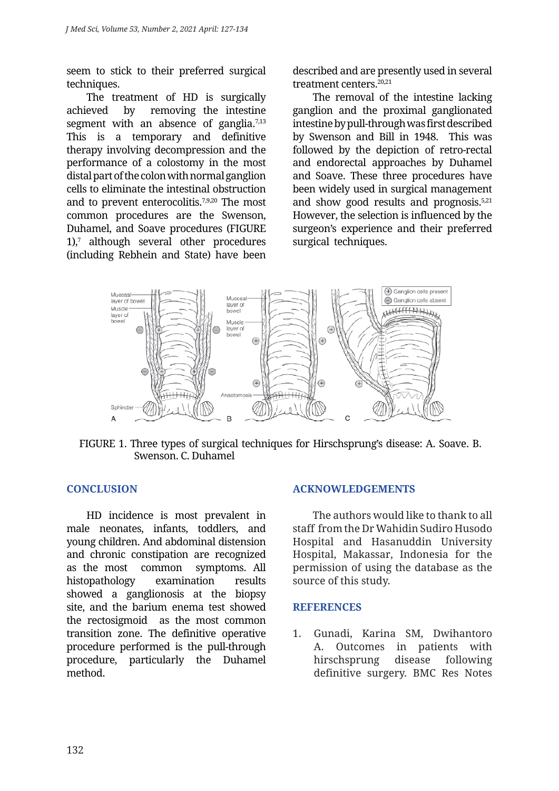seem to stick to their preferred surgical techniques.

The treatment of HD is surgically achieved by removing the intestine segment with an absence of ganglia. $7,13$ This is a temporary and definitive therapy involving decompression and the performance of a colostomy in the most distal part of the colon with normal ganglion cells to eliminate the intestinal obstruction and to prevent enterocolitis.7,9,20 The most common procedures are the Swenson, Duhamel, and Soave procedures (FIGURE 1),7 although several other procedures (including Rebhein and State) have been

described and are presently used in several treatment centers.<sup>20,21</sup>

The removal of the intestine lacking ganglion and the proximal ganglionated intestine by pull-through was first described by Swenson and Bill in 1948. This was followed by the depiction of retro-rectal and endorectal approaches by Duhamel and Soave. These three procedures have been widely used in surgical management and show good results and prognosis.5,21 However, the selection is influenced by the surgeon's experience and their preferred surgical techniques.



FIGURE 1. Three types of surgical techniques for Hirschsprung's disease: A. Soave. B. Swenson. C. Duhamel

# **CONCLUSION**

HD incidence is most prevalent in male neonates, infants, toddlers, and young children. And abdominal distension and chronic constipation are recognized as the most common symptoms. All histopathology examination results showed a ganglionosis at the biopsy site, and the barium enema test showed the rectosigmoid as the most common transition zone. The definitive operative procedure performed is the pull-through procedure, particularly the Duhamel method.

#### **ACKNOWLEDGEMENTS**

The authors would like to thank to all staff from the Dr Wahidin Sudiro Husodo Hospital and Hasanuddin University Hospital, Makassar, Indonesia for the permission of using the database as the source of this study.

#### **REFERENCES**

1. Gunadi, Karina SM, Dwihantoro A. Outcomes in patients with hirschsprung disease following definitive surgery. BMC Res Notes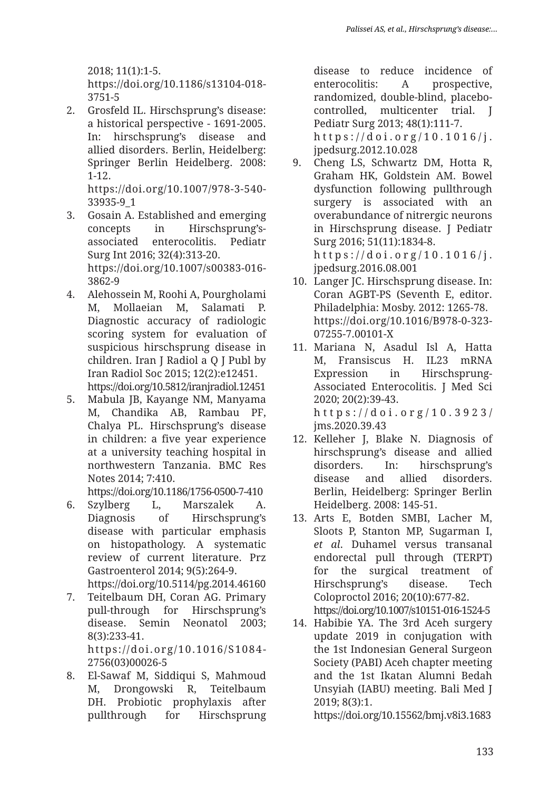2018; 11(1):1-5. https://doi.org/10.1186/s13104-018- 3751-5

2. Grosfeld IL. Hirschsprung's disease: a historical perspective - 1691-2005. In: hirschsprung's disease and allied disorders. Berlin, Heidelberg: Springer Berlin Heidelberg. 2008: 1-12.

https://doi.org/10.1007/978-3-540- 33935-9\_1

- 3. Gosain A. Established and emerging concepts in Hirschsprung'sassociated enterocolitis. Pediatr Surg Int 2016; 32(4):313-20. https://doi.org/10.1007/s00383-016- 3862-9
- 4. Alehossein M, Roohi A, Pourgholami M, Mollaeian M, Salamati P. Diagnostic accuracy of radiologic scoring system for evaluation of suspicious hirschsprung disease in children. Iran J Radiol a Q J Publ by Iran Radiol Soc 2015; 12(2):e12451. https://doi.org/10.5812/iranjradiol.12451
- 5. Mabula JB, Kayange NM, Manyama M, Chandika AB, Rambau PF, Chalya PL. Hirschsprung's disease in children: a five year experience at a university teaching hospital in northwestern Tanzania. BMC Res Notes 2014; 7:410.

https://doi.org/10.1186/1756-0500-7-410

6. Szylberg L, Marszalek A. Diagnosis of Hirschsprung's disease with particular emphasis on histopathology. A systematic review of current literature. Prz Gastroenterol 2014; 9(5):264-9.

https://doi.org/10.5114/pg.2014.46160

7. Teitelbaum DH, Coran AG. Primary pull-through for Hirschsprung's disease. Semin Neonatol 2003; 8(3):233-41. https://doi.org/10.1016/S1084-

2756(03)00026-5

8. El-Sawaf M, Siddiqui S, Mahmoud M, Drongowski R, Teitelbaum DH. Probiotic prophylaxis after pullthrough for Hirschsprung

disease to reduce incidence of enterocolitis: A prospective, randomized, double-blind, placebocontrolled, multicenter trial. J Pediatr Surg 2013; 48(1):111-7. https://doi.org/10.1016/j. jpedsurg.2012.10.028

- 9. Cheng LS, Schwartz DM, Hotta R, Graham HK, Goldstein AM. Bowel dysfunction following pullthrough surgery is associated with an overabundance of nitrergic neurons in Hirschsprung disease. J Pediatr Surg 2016; 51(11):1834-8. https://doi.org/10.1016/j. jpedsurg.2016.08.001
- 10. Langer JC. Hirschsprung disease. In: Coran AGBT-PS (Seventh E, editor. Philadelphia: Mosby. 2012: 1265-78. https://doi.org/10.1016/B978-0-323- 07255-7.00101-X
- 11. Mariana N, Asadul Isl A, Hatta M, Fransiscus H. IL23 mRNA Expression in Hirschsprung-Associated Enterocolitis. J Med Sci 2020; 20(2):39-43. https://doi.org/10.3923/ jms.2020.39.43
- 12. Kelleher J, Blake N. Diagnosis of hirschsprung's disease and allied disorders. In: hirschsprung's disease and allied disorders. Berlin, Heidelberg: Springer Berlin Heidelberg. 2008: 145-51.
- 13. Arts E, Botden SMBI, Lacher M, Sloots P, Stanton MP, Sugarman I, *et al*. Duhamel versus transanal endorectal pull through (TERPT) for the surgical treatment of Hirschsprung's disease. Tech Coloproctol 2016; 20(10):677-82. https://doi.org/10.1007/s10151-016-1524-5
- 14. Habibie YA. The 3rd Aceh surgery update 2019 in conjugation with the 1st Indonesian General Surgeon Society (PABI) Aceh chapter meeting and the 1st Ikatan Alumni Bedah Unsyiah (IABU) meeting. Bali Med J 2019; 8(3):1.

https://doi.org/10.15562/bmj.v8i3.1683